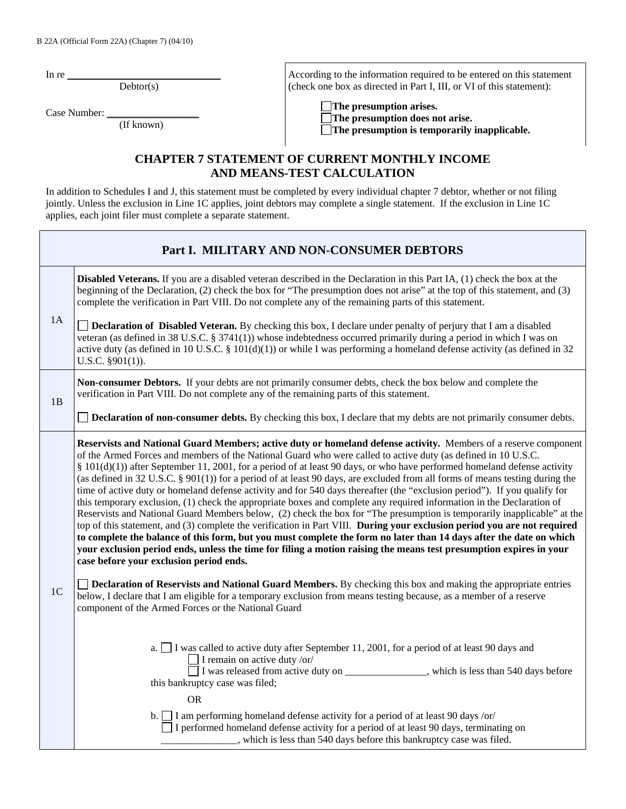In re

 $Dektor(s)$ 

Case Number:

(If known)

According to the information required to be entered on this statement (check one box as directed in Part I, III, or VI of this statement):

**The presumption arises.** 

 **The presumption does not arise. The presumption is temporarily inapplicable.**

## **CHAPTER 7 STATEMENT OF CURRENT MONTHLY INCOME AND MEANS-TEST CALCULATION**

In addition to Schedules I and J, this statement must be completed by every individual chapter 7 debtor, whether or not filing jointly. Unless the exclusion in Line 1C applies, joint debtors may complete a single statement. If the exclusion in Line 1C applies, each joint filer must complete a separate statement.

|                | Part I. MILITARY AND NON-CONSUMER DEBTORS                                                                                                                                                                                                                                                                                                                                                                                                                                                                                                                                                                                                                                                                                                                                                                                                                                                                                                                                                                                                                                                                                                                                                                                                                                                           |
|----------------|-----------------------------------------------------------------------------------------------------------------------------------------------------------------------------------------------------------------------------------------------------------------------------------------------------------------------------------------------------------------------------------------------------------------------------------------------------------------------------------------------------------------------------------------------------------------------------------------------------------------------------------------------------------------------------------------------------------------------------------------------------------------------------------------------------------------------------------------------------------------------------------------------------------------------------------------------------------------------------------------------------------------------------------------------------------------------------------------------------------------------------------------------------------------------------------------------------------------------------------------------------------------------------------------------------|
|                | <b>Disabled Veterans.</b> If you are a disabled veteran described in the Declaration in this Part IA, (1) check the box at the<br>beginning of the Declaration, (2) check the box for "The presumption does not arise" at the top of this statement, and (3)<br>complete the verification in Part VIII. Do not complete any of the remaining parts of this statement.                                                                                                                                                                                                                                                                                                                                                                                                                                                                                                                                                                                                                                                                                                                                                                                                                                                                                                                               |
| 1A             | <b>Declaration of Disabled Veteran.</b> By checking this box, I declare under penalty of perjury that I am a disabled<br>veteran (as defined in 38 U.S.C. § 3741(1)) whose indebtedness occurred primarily during a period in which I was on<br>active duty (as defined in 10 U.S.C. § 101(d)(1)) or while I was performing a homeland defense activity (as defined in 32<br>U.S.C. $§901(1)$ ).                                                                                                                                                                                                                                                                                                                                                                                                                                                                                                                                                                                                                                                                                                                                                                                                                                                                                                    |
| 1B             | Non-consumer Debtors. If your debts are not primarily consumer debts, check the box below and complete the<br>verification in Part VIII. Do not complete any of the remaining parts of this statement.                                                                                                                                                                                                                                                                                                                                                                                                                                                                                                                                                                                                                                                                                                                                                                                                                                                                                                                                                                                                                                                                                              |
|                | <b>Declaration of non-consumer debts.</b> By checking this box, I declare that my debts are not primarily consumer debts.                                                                                                                                                                                                                                                                                                                                                                                                                                                                                                                                                                                                                                                                                                                                                                                                                                                                                                                                                                                                                                                                                                                                                                           |
|                | Reservists and National Guard Members; active duty or homeland defense activity. Members of a reserve component<br>of the Armed Forces and members of the National Guard who were called to active duty (as defined in 10 U.S.C.<br>§ $101(d)(1)$ ) after September 11, 2001, for a period of at least 90 days, or who have performed homeland defense activity<br>(as defined in 32 U.S.C. § 901(1)) for a period of at least 90 days, are excluded from all forms of means testing during the<br>time of active duty or homeland defense activity and for 540 days thereafter (the "exclusion period"). If you qualify for<br>this temporary exclusion, (1) check the appropriate boxes and complete any required information in the Declaration of<br>Reservists and National Guard Members below, (2) check the box for "The presumption is temporarily inapplicable" at the<br>top of this statement, and (3) complete the verification in Part VIII. During your exclusion period you are not required<br>to complete the balance of this form, but you must complete the form no later than 14 days after the date on which<br>your exclusion period ends, unless the time for filing a motion raising the means test presumption expires in your<br>case before your exclusion period ends. |
| 1 <sup>C</sup> | Declaration of Reservists and National Guard Members. By checking this box and making the appropriate entries<br>below, I declare that I am eligible for a temporary exclusion from means testing because, as a member of a reserve<br>component of the Armed Forces or the National Guard                                                                                                                                                                                                                                                                                                                                                                                                                                                                                                                                                                                                                                                                                                                                                                                                                                                                                                                                                                                                          |
|                | a. $\Box$ I was called to active duty after September 11, 2001, for a period of at least 90 days and<br>I remain on active duty /or/<br>I was released from active duty on ______________, which is less than 540 days before<br>this bankruptcy case was filed;<br><b>OR</b>                                                                                                                                                                                                                                                                                                                                                                                                                                                                                                                                                                                                                                                                                                                                                                                                                                                                                                                                                                                                                       |
|                | b. I am performing homeland defense activity for a period of at least 90 days /or/<br>$\Box$ I performed homeland defense activity for a period of at least 90 days, terminating on<br>, which is less than 540 days before this bankruptcy case was filed.                                                                                                                                                                                                                                                                                                                                                                                                                                                                                                                                                                                                                                                                                                                                                                                                                                                                                                                                                                                                                                         |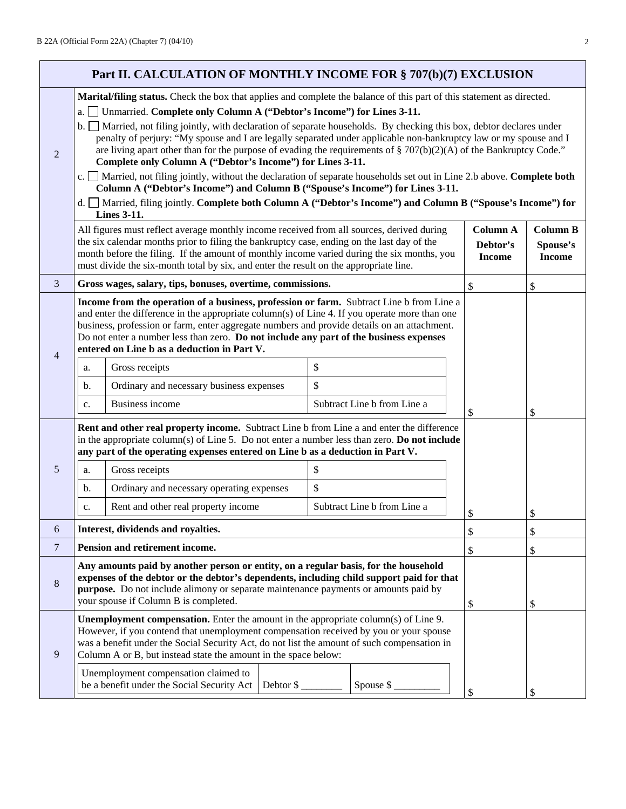|                | Part II. CALCULATION OF MONTHLY INCOME FOR § 707(b)(7) EXCLUSION                                                                                                                                                                                                                                                                                                                                                                  |                                                                                                                                                                                                                                                                                                                                                                                                                                                                                                                                                                                                                                     |                             |  |                                              |                                              |  |
|----------------|-----------------------------------------------------------------------------------------------------------------------------------------------------------------------------------------------------------------------------------------------------------------------------------------------------------------------------------------------------------------------------------------------------------------------------------|-------------------------------------------------------------------------------------------------------------------------------------------------------------------------------------------------------------------------------------------------------------------------------------------------------------------------------------------------------------------------------------------------------------------------------------------------------------------------------------------------------------------------------------------------------------------------------------------------------------------------------------|-----------------------------|--|----------------------------------------------|----------------------------------------------|--|
| 2              | a.l                                                                                                                                                                                                                                                                                                                                                                                                                               | Marital/filing status. Check the box that applies and complete the balance of this part of this statement as directed.<br>Unmarried. Complete only Column A ("Debtor's Income") for Lines 3-11.<br>b. Married, not filing jointly, with declaration of separate households. By checking this box, debtor declares under<br>penalty of perjury: "My spouse and I are legally separated under applicable non-bankruptcy law or my spouse and I<br>are living apart other than for the purpose of evading the requirements of $\S 707(b)(2)(A)$ of the Bankruptcy Code."<br>Complete only Column A ("Debtor's Income") for Lines 3-11. |                             |  |                                              |                                              |  |
|                |                                                                                                                                                                                                                                                                                                                                                                                                                                   | c. Married, not filing jointly, without the declaration of separate households set out in Line 2.b above. Complete both<br>Column A ("Debtor's Income") and Column B ("Spouse's Income") for Lines 3-11.                                                                                                                                                                                                                                                                                                                                                                                                                            |                             |  |                                              |                                              |  |
|                |                                                                                                                                                                                                                                                                                                                                                                                                                                   | d. □ Married, filing jointly. Complete both Column A ("Debtor's Income") and Column B ("Spouse's Income") for<br><b>Lines 3-11.</b>                                                                                                                                                                                                                                                                                                                                                                                                                                                                                                 |                             |  |                                              |                                              |  |
|                |                                                                                                                                                                                                                                                                                                                                                                                                                                   | All figures must reflect average monthly income received from all sources, derived during<br>the six calendar months prior to filing the bankruptcy case, ending on the last day of the<br>month before the filing. If the amount of monthly income varied during the six months, you<br>must divide the six-month total by six, and enter the result on the appropriate line.                                                                                                                                                                                                                                                      |                             |  | <b>Column A</b><br>Debtor's<br><b>Income</b> | <b>Column B</b><br>Spouse's<br><b>Income</b> |  |
| 3              |                                                                                                                                                                                                                                                                                                                                                                                                                                   | Gross wages, salary, tips, bonuses, overtime, commissions.                                                                                                                                                                                                                                                                                                                                                                                                                                                                                                                                                                          |                             |  | \$                                           | \$                                           |  |
| $\overline{4}$ | Income from the operation of a business, profession or farm. Subtract Line b from Line a<br>and enter the difference in the appropriate column(s) of Line 4. If you operate more than one<br>business, profession or farm, enter aggregate numbers and provide details on an attachment.<br>Do not enter a number less than zero. Do not include any part of the business expenses<br>entered on Line b as a deduction in Part V. |                                                                                                                                                                                                                                                                                                                                                                                                                                                                                                                                                                                                                                     |                             |  |                                              |                                              |  |
|                | a.                                                                                                                                                                                                                                                                                                                                                                                                                                | Gross receipts                                                                                                                                                                                                                                                                                                                                                                                                                                                                                                                                                                                                                      | \$                          |  |                                              |                                              |  |
|                | b.                                                                                                                                                                                                                                                                                                                                                                                                                                | Ordinary and necessary business expenses                                                                                                                                                                                                                                                                                                                                                                                                                                                                                                                                                                                            | \$                          |  |                                              |                                              |  |
|                | c.                                                                                                                                                                                                                                                                                                                                                                                                                                | <b>Business income</b>                                                                                                                                                                                                                                                                                                                                                                                                                                                                                                                                                                                                              | Subtract Line b from Line a |  | \$                                           | \$                                           |  |
|                |                                                                                                                                                                                                                                                                                                                                                                                                                                   | Rent and other real property income. Subtract Line b from Line a and enter the difference<br>in the appropriate column(s) of Line 5. Do not enter a number less than zero. Do not include<br>any part of the operating expenses entered on Line b as a deduction in Part V.                                                                                                                                                                                                                                                                                                                                                         |                             |  |                                              |                                              |  |
| 5              | a.                                                                                                                                                                                                                                                                                                                                                                                                                                | Gross receipts                                                                                                                                                                                                                                                                                                                                                                                                                                                                                                                                                                                                                      | \$                          |  |                                              |                                              |  |
|                | b.                                                                                                                                                                                                                                                                                                                                                                                                                                | Ordinary and necessary operating expenses                                                                                                                                                                                                                                                                                                                                                                                                                                                                                                                                                                                           | \$                          |  |                                              |                                              |  |
|                | c.                                                                                                                                                                                                                                                                                                                                                                                                                                | Rent and other real property income                                                                                                                                                                                                                                                                                                                                                                                                                                                                                                                                                                                                 | Subtract Line b from Line a |  | \$                                           | \$                                           |  |
| 6              |                                                                                                                                                                                                                                                                                                                                                                                                                                   | Interest, dividends and royalties.                                                                                                                                                                                                                                                                                                                                                                                                                                                                                                                                                                                                  |                             |  | \$                                           | \$                                           |  |
| $\overline{7}$ |                                                                                                                                                                                                                                                                                                                                                                                                                                   | Pension and retirement income.                                                                                                                                                                                                                                                                                                                                                                                                                                                                                                                                                                                                      |                             |  | \$                                           | \$                                           |  |
| 8              | Any amounts paid by another person or entity, on a regular basis, for the household<br>expenses of the debtor or the debtor's dependents, including child support paid for that<br>purpose. Do not include alimony or separate maintenance payments or amounts paid by<br>your spouse if Column B is completed.                                                                                                                   |                                                                                                                                                                                                                                                                                                                                                                                                                                                                                                                                                                                                                                     |                             |  | \$                                           | \$                                           |  |
| 9              | Unemployment compensation. Enter the amount in the appropriate column(s) of Line 9.<br>However, if you contend that unemployment compensation received by you or your spouse<br>was a benefit under the Social Security Act, do not list the amount of such compensation in<br>Column A or B, but instead state the amount in the space below:                                                                                    |                                                                                                                                                                                                                                                                                                                                                                                                                                                                                                                                                                                                                                     |                             |  |                                              |                                              |  |
|                | Unemployment compensation claimed to<br>be a benefit under the Social Security Act<br>Debtor $\frac{6}{5}$<br>Spouse $\frac{1}{2}$                                                                                                                                                                                                                                                                                                |                                                                                                                                                                                                                                                                                                                                                                                                                                                                                                                                                                                                                                     |                             |  | \$                                           | \$                                           |  |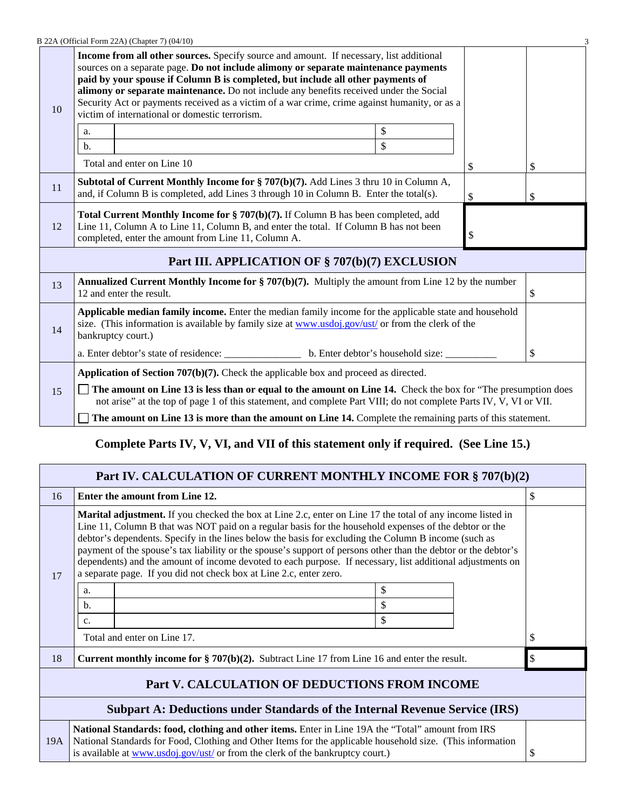|    | B 22A (Official Form 22A) (Chapter 7) (04/10)                                                                                                                                                                                                      |                                                                                                                                                                                                                                                                                                                                                                                                                                                                                                                       |    |    |    |  |  |
|----|----------------------------------------------------------------------------------------------------------------------------------------------------------------------------------------------------------------------------------------------------|-----------------------------------------------------------------------------------------------------------------------------------------------------------------------------------------------------------------------------------------------------------------------------------------------------------------------------------------------------------------------------------------------------------------------------------------------------------------------------------------------------------------------|----|----|----|--|--|
| 10 |                                                                                                                                                                                                                                                    | <b>Income from all other sources.</b> Specify source and amount. If necessary, list additional<br>sources on a separate page. Do not include alimony or separate maintenance payments<br>paid by your spouse if Column B is completed, but include all other payments of<br>alimony or separate maintenance. Do not include any benefits received under the Social<br>Security Act or payments received as a victim of a war crime, crime against humanity, or as a<br>victim of international or domestic terrorism. |    |    |    |  |  |
|    | a.                                                                                                                                                                                                                                                 |                                                                                                                                                                                                                                                                                                                                                                                                                                                                                                                       | \$ |    |    |  |  |
|    | $b$                                                                                                                                                                                                                                                |                                                                                                                                                                                                                                                                                                                                                                                                                                                                                                                       | \$ |    |    |  |  |
|    |                                                                                                                                                                                                                                                    | Total and enter on Line 10                                                                                                                                                                                                                                                                                                                                                                                                                                                                                            |    | \$ | \$ |  |  |
| 11 | <b>Subtotal of Current Monthly Income for § 707(b)(7).</b> Add Lines 3 thru 10 in Column A,<br>and, if Column B is completed, add Lines 3 through 10 in Column B. Enter the total(s).<br>\$                                                        |                                                                                                                                                                                                                                                                                                                                                                                                                                                                                                                       |    |    |    |  |  |
| 12 | Total Current Monthly Income for § 707(b)(7). If Column B has been completed, add<br>Line 11, Column A to Line 11, Column B, and enter the total. If Column B has not been<br>\$<br>completed, enter the amount from Line 11, Column A.            |                                                                                                                                                                                                                                                                                                                                                                                                                                                                                                                       |    |    |    |  |  |
|    |                                                                                                                                                                                                                                                    | Part III. APPLICATION OF § 707(b)(7) EXCLUSION                                                                                                                                                                                                                                                                                                                                                                                                                                                                        |    |    |    |  |  |
| 13 |                                                                                                                                                                                                                                                    | Annualized Current Monthly Income for $\S 707(b)(7)$ . Multiply the amount from Line 12 by the number<br>12 and enter the result.                                                                                                                                                                                                                                                                                                                                                                                     |    |    | \$ |  |  |
| 14 | Applicable median family income. Enter the median family income for the applicable state and household<br>size. (This information is available by family size at $\underline{www. usdoj.gov/ust/}}$ or from the clerk of the<br>bankruptcy court.) |                                                                                                                                                                                                                                                                                                                                                                                                                                                                                                                       |    |    |    |  |  |
|    |                                                                                                                                                                                                                                                    |                                                                                                                                                                                                                                                                                                                                                                                                                                                                                                                       |    | \$ |    |  |  |
|    |                                                                                                                                                                                                                                                    | <b>Application of Section 707(b)(7).</b> Check the applicable box and proceed as directed.                                                                                                                                                                                                                                                                                                                                                                                                                            |    |    |    |  |  |
| 15 | The amount on Line 13 is less than or equal to the amount on Line 14. Check the box for "The presumption does"<br>not arise" at the top of page 1 of this statement, and complete Part VIII; do not complete Parts IV, V, VI or VII.               |                                                                                                                                                                                                                                                                                                                                                                                                                                                                                                                       |    |    |    |  |  |
|    | The amount on Line 13 is more than the amount on Line 14. Complete the remaining parts of this statement.                                                                                                                                          |                                                                                                                                                                                                                                                                                                                                                                                                                                                                                                                       |    |    |    |  |  |

## **Complete Parts IV, V, VI, and VII of this statement only if required. (See Line 15.)**

|                                                                                                                                                                                                                                                                                                          | Part IV. CALCULATION OF CURRENT MONTHLY INCOME FOR § 707(b)(2)                                     |                                                                                                                                                                                                                                                                                                                                                                                                                                                                                                                                                                                                                                           |          |    |    |  |  |  |
|----------------------------------------------------------------------------------------------------------------------------------------------------------------------------------------------------------------------------------------------------------------------------------------------------------|----------------------------------------------------------------------------------------------------|-------------------------------------------------------------------------------------------------------------------------------------------------------------------------------------------------------------------------------------------------------------------------------------------------------------------------------------------------------------------------------------------------------------------------------------------------------------------------------------------------------------------------------------------------------------------------------------------------------------------------------------------|----------|----|----|--|--|--|
| 16                                                                                                                                                                                                                                                                                                       |                                                                                                    | Enter the amount from Line 12.                                                                                                                                                                                                                                                                                                                                                                                                                                                                                                                                                                                                            |          |    | \$ |  |  |  |
| 17                                                                                                                                                                                                                                                                                                       |                                                                                                    | <b>Marital adjustment.</b> If you checked the box at Line 2.c, enter on Line 17 the total of any income listed in<br>Line 11, Column B that was NOT paid on a regular basis for the household expenses of the debtor or the<br>debtor's dependents. Specify in the lines below the basis for excluding the Column B income (such as<br>payment of the spouse's tax liability or the spouse's support of persons other than the debtor or the debtor's<br>dependents) and the amount of income devoted to each purpose. If necessary, list additional adjustments on<br>a separate page. If you did not check box at Line 2.c, enter zero. |          |    |    |  |  |  |
|                                                                                                                                                                                                                                                                                                          | a.<br>b.                                                                                           |                                                                                                                                                                                                                                                                                                                                                                                                                                                                                                                                                                                                                                           | \$<br>\$ |    |    |  |  |  |
|                                                                                                                                                                                                                                                                                                          | c.                                                                                                 |                                                                                                                                                                                                                                                                                                                                                                                                                                                                                                                                                                                                                                           | \$       |    |    |  |  |  |
|                                                                                                                                                                                                                                                                                                          |                                                                                                    | Total and enter on Line 17.                                                                                                                                                                                                                                                                                                                                                                                                                                                                                                                                                                                                               |          |    |    |  |  |  |
| 18                                                                                                                                                                                                                                                                                                       | <b>Current monthly income for § 707(b)(2).</b> Subtract Line 17 from Line 16 and enter the result. |                                                                                                                                                                                                                                                                                                                                                                                                                                                                                                                                                                                                                                           |          | \$ |    |  |  |  |
| Part V. CALCULATION OF DEDUCTIONS FROM INCOME                                                                                                                                                                                                                                                            |                                                                                                    |                                                                                                                                                                                                                                                                                                                                                                                                                                                                                                                                                                                                                                           |          |    |    |  |  |  |
| Subpart A: Deductions under Standards of the Internal Revenue Service (IRS)                                                                                                                                                                                                                              |                                                                                                    |                                                                                                                                                                                                                                                                                                                                                                                                                                                                                                                                                                                                                                           |          |    |    |  |  |  |
| National Standards: food, clothing and other items. Enter in Line 19A the "Total" amount from IRS<br>National Standards for Food, Clothing and Other Items for the applicable household size. (This information<br>19A<br>is available at www.usdoj.gov/ust/ or from the clerk of the bankruptcy court.) |                                                                                                    |                                                                                                                                                                                                                                                                                                                                                                                                                                                                                                                                                                                                                                           |          | \$ |    |  |  |  |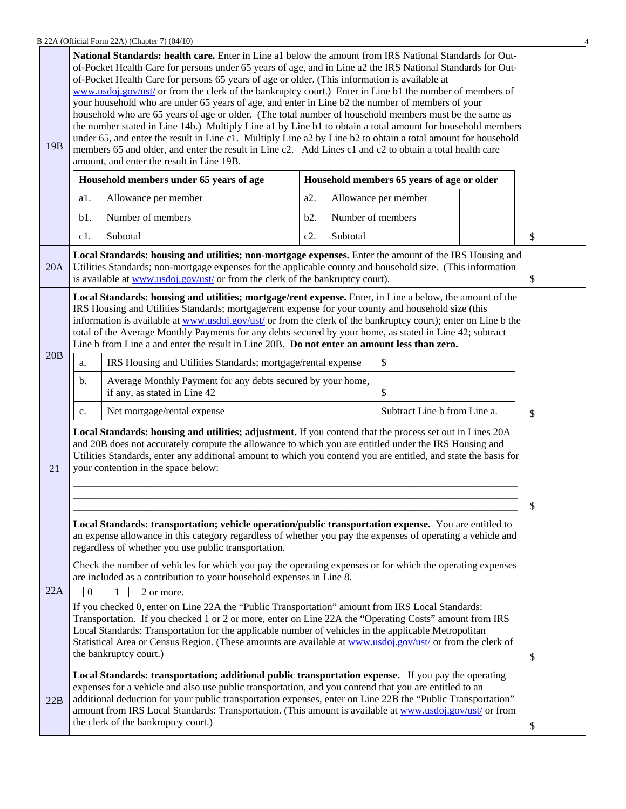B 22A (Official Form 22A) (Chapter 7) (04/10) 4

|                 | National Standards: health care. Enter in Line a1 below the amount from IRS National Standards for Out-<br>of-Pocket Health Care for persons under 65 years of age, and in Line a2 the IRS National Standards for Out-<br>of-Pocket Health Care for persons 65 years of age or older. (This information is available at<br>www.usdoj.gov/ust/ or from the clerk of the bankruptcy court.) Enter in Line b1 the number of members of<br>your household who are under 65 years of age, and enter in Line b2 the number of members of your<br>household who are 65 years of age or older. (The total number of household members must be the same as<br>the number stated in Line 14b.) Multiply Line a1 by Line b1 to obtain a total amount for household members |                                                                                                                                                                                                                                                                                                        |  |     |                   |                                            |  |                           |  |
|-----------------|-----------------------------------------------------------------------------------------------------------------------------------------------------------------------------------------------------------------------------------------------------------------------------------------------------------------------------------------------------------------------------------------------------------------------------------------------------------------------------------------------------------------------------------------------------------------------------------------------------------------------------------------------------------------------------------------------------------------------------------------------------------------|--------------------------------------------------------------------------------------------------------------------------------------------------------------------------------------------------------------------------------------------------------------------------------------------------------|--|-----|-------------------|--------------------------------------------|--|---------------------------|--|
| 19 <sub>B</sub> |                                                                                                                                                                                                                                                                                                                                                                                                                                                                                                                                                                                                                                                                                                                                                                 | under 65, and enter the result in Line c1. Multiply Line a2 by Line b2 to obtain a total amount for household<br>members 65 and older, and enter the result in Line c2. Add Lines c1 and c2 to obtain a total health care<br>amount, and enter the result in Line 19B.                                 |  |     |                   |                                            |  |                           |  |
|                 |                                                                                                                                                                                                                                                                                                                                                                                                                                                                                                                                                                                                                                                                                                                                                                 | Household members under 65 years of age                                                                                                                                                                                                                                                                |  |     |                   | Household members 65 years of age or older |  |                           |  |
|                 | a1.                                                                                                                                                                                                                                                                                                                                                                                                                                                                                                                                                                                                                                                                                                                                                             | Allowance per member                                                                                                                                                                                                                                                                                   |  | a2. |                   | Allowance per member                       |  |                           |  |
|                 | b1.                                                                                                                                                                                                                                                                                                                                                                                                                                                                                                                                                                                                                                                                                                                                                             | Number of members                                                                                                                                                                                                                                                                                      |  | b2. | Number of members |                                            |  |                           |  |
|                 | c1.                                                                                                                                                                                                                                                                                                                                                                                                                                                                                                                                                                                                                                                                                                                                                             | Subtotal                                                                                                                                                                                                                                                                                               |  | c2. | Subtotal          |                                            |  | \$                        |  |
| 20A             |                                                                                                                                                                                                                                                                                                                                                                                                                                                                                                                                                                                                                                                                                                                                                                 | Local Standards: housing and utilities; non-mortgage expenses. Enter the amount of the IRS Housing and<br>Utilities Standards; non-mortgage expenses for the applicable county and household size. (This information<br>is available at www.usdoj.gov/ust/ or from the clerk of the bankruptcy court). |  |     |                   |                                            |  | \$                        |  |
|                 | Local Standards: housing and utilities; mortgage/rent expense. Enter, in Line a below, the amount of the<br>IRS Housing and Utilities Standards; mortgage/rent expense for your county and household size (this<br>information is available at www.usdoj.gov/ust/ or from the clerk of the bankruptcy court); enter on Line b the<br>total of the Average Monthly Payments for any debts secured by your home, as stated in Line 42; subtract<br>Line b from Line a and enter the result in Line 20B. Do not enter an amount less than zero.                                                                                                                                                                                                                    |                                                                                                                                                                                                                                                                                                        |  |     |                   |                                            |  |                           |  |
| 20B             | \$<br>IRS Housing and Utilities Standards; mortgage/rental expense<br>a.                                                                                                                                                                                                                                                                                                                                                                                                                                                                                                                                                                                                                                                                                        |                                                                                                                                                                                                                                                                                                        |  |     |                   |                                            |  |                           |  |
|                 | b.                                                                                                                                                                                                                                                                                                                                                                                                                                                                                                                                                                                                                                                                                                                                                              | Average Monthly Payment for any debts secured by your home,<br>\$<br>if any, as stated in Line 42                                                                                                                                                                                                      |  |     |                   |                                            |  |                           |  |
|                 | c.                                                                                                                                                                                                                                                                                                                                                                                                                                                                                                                                                                                                                                                                                                                                                              | Net mortgage/rental expense                                                                                                                                                                                                                                                                            |  |     |                   | Subtract Line b from Line a.               |  | $\boldsymbol{\mathsf{S}}$ |  |
| 21              | Local Standards: housing and utilities; adjustment. If you contend that the process set out in Lines 20A<br>and 20B does not accurately compute the allowance to which you are entitled under the IRS Housing and<br>Utilities Standards, enter any additional amount to which you contend you are entitled, and state the basis for<br>your contention in the space below:                                                                                                                                                                                                                                                                                                                                                                                     |                                                                                                                                                                                                                                                                                                        |  |     |                   |                                            |  |                           |  |
|                 |                                                                                                                                                                                                                                                                                                                                                                                                                                                                                                                                                                                                                                                                                                                                                                 |                                                                                                                                                                                                                                                                                                        |  |     |                   |                                            |  | \$                        |  |
|                 | Local Standards: transportation; vehicle operation/public transportation expense. You are entitled to<br>an expense allowance in this category regardless of whether you pay the expenses of operating a vehicle and<br>regardless of whether you use public transportation.                                                                                                                                                                                                                                                                                                                                                                                                                                                                                    |                                                                                                                                                                                                                                                                                                        |  |     |                   |                                            |  |                           |  |
|                 | Check the number of vehicles for which you pay the operating expenses or for which the operating expenses<br>are included as a contribution to your household expenses in Line 8.                                                                                                                                                                                                                                                                                                                                                                                                                                                                                                                                                                               |                                                                                                                                                                                                                                                                                                        |  |     |                   |                                            |  |                           |  |
| 22A             | $\vert 0 \vert$<br>$\Box$ 1 $\Box$ 2 or more.<br>If you checked 0, enter on Line 22A the "Public Transportation" amount from IRS Local Standards:<br>Transportation. If you checked 1 or 2 or more, enter on Line 22A the "Operating Costs" amount from IRS<br>Local Standards: Transportation for the applicable number of vehicles in the applicable Metropolitan<br>Statistical Area or Census Region. (These amounts are available at www.usdoj.gov/ust/ or from the clerk of<br>the bankruptcy court.)                                                                                                                                                                                                                                                     |                                                                                                                                                                                                                                                                                                        |  |     |                   | \$                                         |  |                           |  |
| 22B             | Local Standards: transportation; additional public transportation expense. If you pay the operating<br>expenses for a vehicle and also use public transportation, and you contend that you are entitled to an<br>additional deduction for your public transportation expenses, enter on Line 22B the "Public Transportation"<br>amount from IRS Local Standards: Transportation. (This amount is available at www.usdoj.gov/ust/ or from<br>the clerk of the bankruptcy court.)                                                                                                                                                                                                                                                                                 |                                                                                                                                                                                                                                                                                                        |  |     | \$                |                                            |  |                           |  |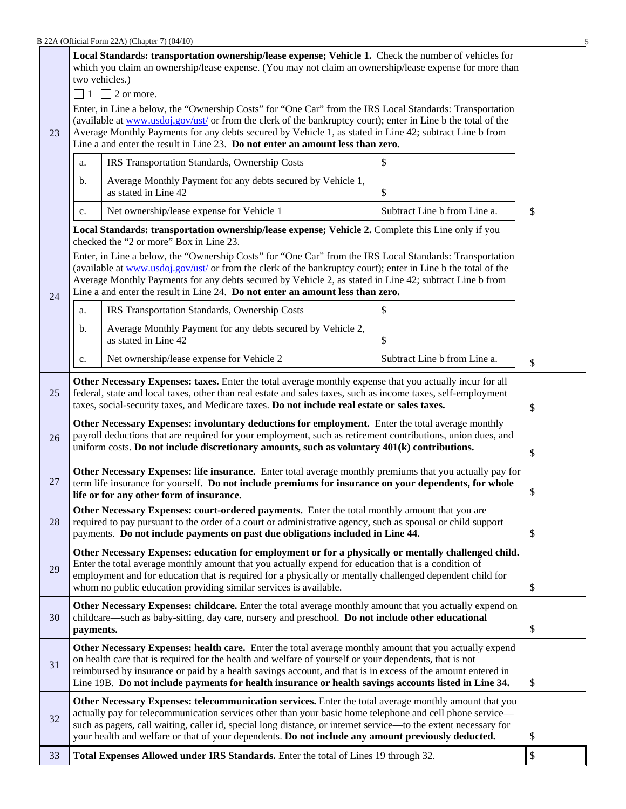| 23 | Local Standards: transportation ownership/lease expense; Vehicle 1. Check the number of vehicles for<br>which you claim an ownership/lease expense. (You may not claim an ownership/lease expense for more than<br>two vehicles.)<br>$\Box$ 1 $\Box$ 2 or more.<br>Enter, in Line a below, the "Ownership Costs" for "One Car" from the IRS Local Standards: Transportation<br>(available at www.usdoj.gov/ust/ or from the clerk of the bankruptcy court); enter in Line b the total of the<br>Average Monthly Payments for any debts secured by Vehicle 1, as stated in Line 42; subtract Line b from<br>Line a and enter the result in Line 23. Do not enter an amount less than zero. |                                                                                                                                                                                                                                                                                                                                                                                                                        |                              |    |  |  |
|----|-------------------------------------------------------------------------------------------------------------------------------------------------------------------------------------------------------------------------------------------------------------------------------------------------------------------------------------------------------------------------------------------------------------------------------------------------------------------------------------------------------------------------------------------------------------------------------------------------------------------------------------------------------------------------------------------|------------------------------------------------------------------------------------------------------------------------------------------------------------------------------------------------------------------------------------------------------------------------------------------------------------------------------------------------------------------------------------------------------------------------|------------------------------|----|--|--|
|    | a.                                                                                                                                                                                                                                                                                                                                                                                                                                                                                                                                                                                                                                                                                        | IRS Transportation Standards, Ownership Costs                                                                                                                                                                                                                                                                                                                                                                          | \$                           |    |  |  |
|    | b.                                                                                                                                                                                                                                                                                                                                                                                                                                                                                                                                                                                                                                                                                        | Average Monthly Payment for any debts secured by Vehicle 1,<br>as stated in Line 42                                                                                                                                                                                                                                                                                                                                    | \$                           |    |  |  |
|    | c.                                                                                                                                                                                                                                                                                                                                                                                                                                                                                                                                                                                                                                                                                        | Net ownership/lease expense for Vehicle 1                                                                                                                                                                                                                                                                                                                                                                              | Subtract Line b from Line a. | \$ |  |  |
|    |                                                                                                                                                                                                                                                                                                                                                                                                                                                                                                                                                                                                                                                                                           | Local Standards: transportation ownership/lease expense; Vehicle 2. Complete this Line only if you<br>checked the "2 or more" Box in Line 23.                                                                                                                                                                                                                                                                          |                              |    |  |  |
| 24 |                                                                                                                                                                                                                                                                                                                                                                                                                                                                                                                                                                                                                                                                                           | Enter, in Line a below, the "Ownership Costs" for "One Car" from the IRS Local Standards: Transportation<br>(available at www.usdoj.gov/ust/ or from the clerk of the bankruptcy court); enter in Line b the total of the<br>Average Monthly Payments for any debts secured by Vehicle 2, as stated in Line 42; subtract Line b from<br>Line a and enter the result in Line 24. Do not enter an amount less than zero. |                              |    |  |  |
|    | a.                                                                                                                                                                                                                                                                                                                                                                                                                                                                                                                                                                                                                                                                                        | IRS Transportation Standards, Ownership Costs                                                                                                                                                                                                                                                                                                                                                                          | \$                           |    |  |  |
|    | b.                                                                                                                                                                                                                                                                                                                                                                                                                                                                                                                                                                                                                                                                                        | Average Monthly Payment for any debts secured by Vehicle 2,<br>as stated in Line 42                                                                                                                                                                                                                                                                                                                                    | \$                           |    |  |  |
|    | c.                                                                                                                                                                                                                                                                                                                                                                                                                                                                                                                                                                                                                                                                                        | Net ownership/lease expense for Vehicle 2                                                                                                                                                                                                                                                                                                                                                                              | Subtract Line b from Line a. | \$ |  |  |
| 25 | Other Necessary Expenses: taxes. Enter the total average monthly expense that you actually incur for all<br>federal, state and local taxes, other than real estate and sales taxes, such as income taxes, self-employment<br>taxes, social-security taxes, and Medicare taxes. Do not include real estate or sales taxes.<br>\$                                                                                                                                                                                                                                                                                                                                                           |                                                                                                                                                                                                                                                                                                                                                                                                                        |                              |    |  |  |
| 26 | Other Necessary Expenses: involuntary deductions for employment. Enter the total average monthly<br>payroll deductions that are required for your employment, such as retirement contributions, union dues, and<br>uniform costs. Do not include discretionary amounts, such as voluntary 401(k) contributions.<br>\$                                                                                                                                                                                                                                                                                                                                                                     |                                                                                                                                                                                                                                                                                                                                                                                                                        |                              |    |  |  |
| 27 | Other Necessary Expenses: life insurance. Enter total average monthly premiums that you actually pay for<br>term life insurance for yourself. Do not include premiums for insurance on your dependents, for whole<br>\$<br>life or for any other form of insurance.                                                                                                                                                                                                                                                                                                                                                                                                                       |                                                                                                                                                                                                                                                                                                                                                                                                                        |                              |    |  |  |
| 28 | Other Necessary Expenses: court-ordered payments. Enter the total monthly amount that you are<br>required to pay pursuant to the order of a court or administrative agency, such as spousal or child support<br>payments. Do not include payments on past due obligations included in Line 44.<br>\$                                                                                                                                                                                                                                                                                                                                                                                      |                                                                                                                                                                                                                                                                                                                                                                                                                        |                              |    |  |  |
| 29 | Other Necessary Expenses: education for employment or for a physically or mentally challenged child.<br>Enter the total average monthly amount that you actually expend for education that is a condition of<br>employment and for education that is required for a physically or mentally challenged dependent child for<br>whom no public education providing similar services is available.<br>\$                                                                                                                                                                                                                                                                                      |                                                                                                                                                                                                                                                                                                                                                                                                                        |                              |    |  |  |
| 30 | Other Necessary Expenses: childcare. Enter the total average monthly amount that you actually expend on<br>childcare—such as baby-sitting, day care, nursery and preschool. Do not include other educational<br>\$<br>payments.                                                                                                                                                                                                                                                                                                                                                                                                                                                           |                                                                                                                                                                                                                                                                                                                                                                                                                        |                              |    |  |  |
| 31 | Other Necessary Expenses: health care. Enter the total average monthly amount that you actually expend<br>on health care that is required for the health and welfare of yourself or your dependents, that is not<br>reimbursed by insurance or paid by a health savings account, and that is in excess of the amount entered in<br>Line 19B. Do not include payments for health insurance or health savings accounts listed in Line 34.<br>\$                                                                                                                                                                                                                                             |                                                                                                                                                                                                                                                                                                                                                                                                                        |                              |    |  |  |
| 32 | Other Necessary Expenses: telecommunication services. Enter the total average monthly amount that you<br>actually pay for telecommunication services other than your basic home telephone and cell phone service—<br>such as pagers, call waiting, caller id, special long distance, or internet service—to the extent necessary for<br>your health and welfare or that of your dependents. Do not include any amount previously deducted.<br>\$                                                                                                                                                                                                                                          |                                                                                                                                                                                                                                                                                                                                                                                                                        |                              |    |  |  |
| 33 |                                                                                                                                                                                                                                                                                                                                                                                                                                                                                                                                                                                                                                                                                           | Total Expenses Allowed under IRS Standards. Enter the total of Lines 19 through 32.                                                                                                                                                                                                                                                                                                                                    |                              | \$ |  |  |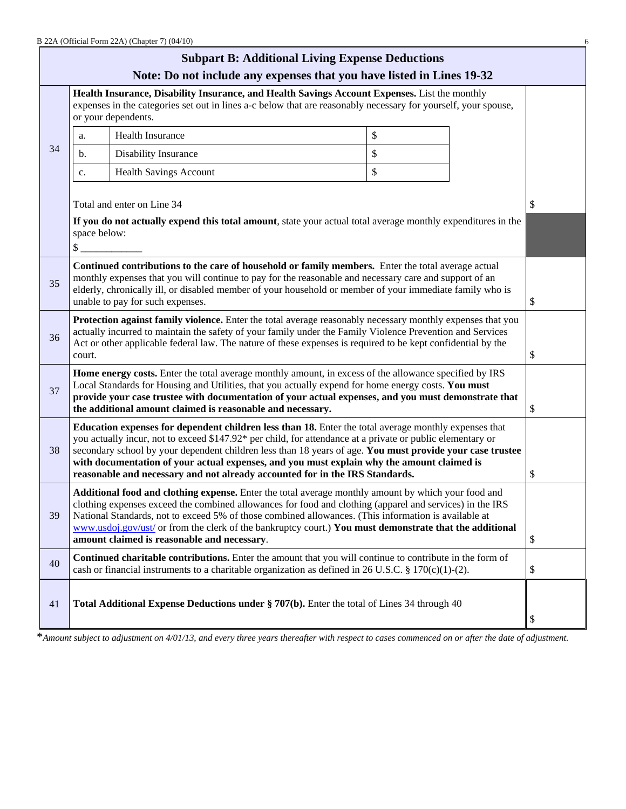|    |                                                                                                                                                                                                                                                                                                                                                                                                                                                                                                                | B 22A (Official Form 22A) (Chapter 7) (04/10)                                                                                                                                                                                                                                                                                                                |    |    |    |  |  |
|----|----------------------------------------------------------------------------------------------------------------------------------------------------------------------------------------------------------------------------------------------------------------------------------------------------------------------------------------------------------------------------------------------------------------------------------------------------------------------------------------------------------------|--------------------------------------------------------------------------------------------------------------------------------------------------------------------------------------------------------------------------------------------------------------------------------------------------------------------------------------------------------------|----|----|----|--|--|
|    |                                                                                                                                                                                                                                                                                                                                                                                                                                                                                                                | <b>Subpart B: Additional Living Expense Deductions</b>                                                                                                                                                                                                                                                                                                       |    |    |    |  |  |
|    | Note: Do not include any expenses that you have listed in Lines 19-32<br>Health Insurance, Disability Insurance, and Health Savings Account Expenses. List the monthly<br>expenses in the categories set out in lines a-c below that are reasonably necessary for yourself, your spouse,                                                                                                                                                                                                                       |                                                                                                                                                                                                                                                                                                                                                              |    |    |    |  |  |
|    | or your dependents.<br>\$<br>Health Insurance<br>a.                                                                                                                                                                                                                                                                                                                                                                                                                                                            |                                                                                                                                                                                                                                                                                                                                                              |    |    |    |  |  |
| 34 | b.                                                                                                                                                                                                                                                                                                                                                                                                                                                                                                             | Disability Insurance                                                                                                                                                                                                                                                                                                                                         | \$ |    |    |  |  |
|    | c.                                                                                                                                                                                                                                                                                                                                                                                                                                                                                                             | <b>Health Savings Account</b>                                                                                                                                                                                                                                                                                                                                | \$ |    |    |  |  |
|    | space below:<br>\$                                                                                                                                                                                                                                                                                                                                                                                                                                                                                             | Total and enter on Line 34<br>If you do not actually expend this total amount, state your actual total average monthly expenditures in the                                                                                                                                                                                                                   |    |    | \$ |  |  |
| 35 |                                                                                                                                                                                                                                                                                                                                                                                                                                                                                                                | Continued contributions to the care of household or family members. Enter the total average actual<br>monthly expenses that you will continue to pay for the reasonable and necessary care and support of an<br>elderly, chronically ill, or disabled member of your household or member of your immediate family who is<br>unable to pay for such expenses. |    |    | \$ |  |  |
| 36 | Protection against family violence. Enter the total average reasonably necessary monthly expenses that you<br>actually incurred to maintain the safety of your family under the Family Violence Prevention and Services<br>Act or other applicable federal law. The nature of these expenses is required to be kept confidential by the<br>court.                                                                                                                                                              |                                                                                                                                                                                                                                                                                                                                                              |    |    | \$ |  |  |
| 37 | Home energy costs. Enter the total average monthly amount, in excess of the allowance specified by IRS<br>Local Standards for Housing and Utilities, that you actually expend for home energy costs. You must<br>provide your case trustee with documentation of your actual expenses, and you must demonstrate that<br>the additional amount claimed is reasonable and necessary.                                                                                                                             |                                                                                                                                                                                                                                                                                                                                                              |    |    |    |  |  |
| 38 | Education expenses for dependent children less than 18. Enter the total average monthly expenses that<br>you actually incur, not to exceed \$147.92* per child, for attendance at a private or public elementary or<br>secondary school by your dependent children less than 18 years of age. You must provide your case trustee<br>with documentation of your actual expenses, and you must explain why the amount claimed is<br>reasonable and necessary and not already accounted for in the IRS Standards. |                                                                                                                                                                                                                                                                                                                                                              |    |    | \$ |  |  |
| 39 | Additional food and clothing expense. Enter the total average monthly amount by which your food and<br>clothing expenses exceed the combined allowances for food and clothing (apparel and services) in the IRS<br>National Standards, not to exceed 5% of those combined allowances. (This information is available at<br>www.usdoj.gov/ust/ or from the clerk of the bankruptcy court.) You must demonstrate that the additional<br>amount claimed is reasonable and necessary.                              |                                                                                                                                                                                                                                                                                                                                                              |    | \$ |    |  |  |
| 40 |                                                                                                                                                                                                                                                                                                                                                                                                                                                                                                                | Continued charitable contributions. Enter the amount that you will continue to contribute in the form of<br>cash or financial instruments to a charitable organization as defined in 26 U.S.C. § 170(c)(1)-(2).                                                                                                                                              |    |    | \$ |  |  |
| 41 |                                                                                                                                                                                                                                                                                                                                                                                                                                                                                                                | Total Additional Expense Deductions under § 707(b). Enter the total of Lines 34 through 40                                                                                                                                                                                                                                                                   |    |    | \$ |  |  |

\**Amount subject to adjustment on 4/01/13, and every three years thereafter with respect to cases commenced on or after the date of adjustment.*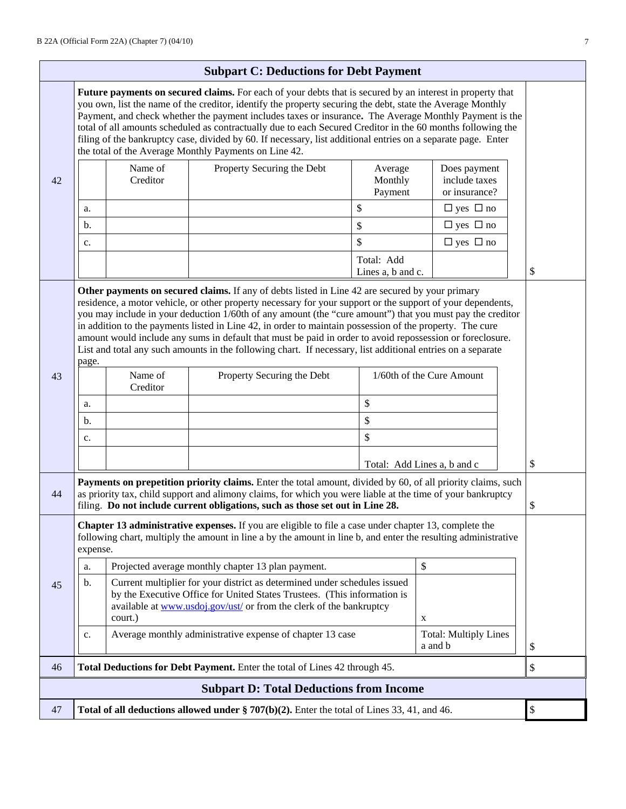|                                                                                                                                                                                                                                                                                                                                                                                                                                                                                                                                                                                                                            | <b>Subpart C: Deductions for Debt Payment</b>                                                                                                                                                                                                                                                                                                                                                                                                                                                                                                                                                                                                                                |                     |                                                                                                                                                                                                                                                                                                              |                                 |                                                |  |      |
|----------------------------------------------------------------------------------------------------------------------------------------------------------------------------------------------------------------------------------------------------------------------------------------------------------------------------------------------------------------------------------------------------------------------------------------------------------------------------------------------------------------------------------------------------------------------------------------------------------------------------|------------------------------------------------------------------------------------------------------------------------------------------------------------------------------------------------------------------------------------------------------------------------------------------------------------------------------------------------------------------------------------------------------------------------------------------------------------------------------------------------------------------------------------------------------------------------------------------------------------------------------------------------------------------------------|---------------------|--------------------------------------------------------------------------------------------------------------------------------------------------------------------------------------------------------------------------------------------------------------------------------------------------------------|---------------------------------|------------------------------------------------|--|------|
| Future payments on secured claims. For each of your debts that is secured by an interest in property that<br>you own, list the name of the creditor, identify the property securing the debt, state the Average Monthly<br>Payment, and check whether the payment includes taxes or insurance. The Average Monthly Payment is the<br>total of all amounts scheduled as contractually due to each Secured Creditor in the 60 months following the<br>filing of the bankruptcy case, divided by 60. If necessary, list additional entries on a separate page. Enter<br>the total of the Average Monthly Payments on Line 42. |                                                                                                                                                                                                                                                                                                                                                                                                                                                                                                                                                                                                                                                                              |                     |                                                                                                                                                                                                                                                                                                              |                                 |                                                |  |      |
| 42                                                                                                                                                                                                                                                                                                                                                                                                                                                                                                                                                                                                                         |                                                                                                                                                                                                                                                                                                                                                                                                                                                                                                                                                                                                                                                                              | Name of<br>Creditor | Property Securing the Debt                                                                                                                                                                                                                                                                                   | Average<br>Monthly<br>Payment   | Does payment<br>include taxes<br>or insurance? |  |      |
|                                                                                                                                                                                                                                                                                                                                                                                                                                                                                                                                                                                                                            | a.                                                                                                                                                                                                                                                                                                                                                                                                                                                                                                                                                                                                                                                                           |                     |                                                                                                                                                                                                                                                                                                              | \$                              | $\Box$ yes $\Box$ no                           |  |      |
|                                                                                                                                                                                                                                                                                                                                                                                                                                                                                                                                                                                                                            | b.                                                                                                                                                                                                                                                                                                                                                                                                                                                                                                                                                                                                                                                                           |                     |                                                                                                                                                                                                                                                                                                              | \$                              | $\Box$ yes $\Box$ no                           |  |      |
|                                                                                                                                                                                                                                                                                                                                                                                                                                                                                                                                                                                                                            | c.                                                                                                                                                                                                                                                                                                                                                                                                                                                                                                                                                                                                                                                                           |                     |                                                                                                                                                                                                                                                                                                              | \$                              | $\Box$ yes $\Box$ no                           |  |      |
|                                                                                                                                                                                                                                                                                                                                                                                                                                                                                                                                                                                                                            |                                                                                                                                                                                                                                                                                                                                                                                                                                                                                                                                                                                                                                                                              |                     |                                                                                                                                                                                                                                                                                                              | Total: Add<br>Lines a, b and c. |                                                |  | \$   |
|                                                                                                                                                                                                                                                                                                                                                                                                                                                                                                                                                                                                                            | Other payments on secured claims. If any of debts listed in Line 42 are secured by your primary<br>residence, a motor vehicle, or other property necessary for your support or the support of your dependents,<br>you may include in your deduction 1/60th of any amount (the "cure amount") that you must pay the creditor<br>in addition to the payments listed in Line 42, in order to maintain possession of the property. The cure<br>amount would include any sums in default that must be paid in order to avoid repossession or foreclosure.<br>List and total any such amounts in the following chart. If necessary, list additional entries on a separate<br>page. |                     |                                                                                                                                                                                                                                                                                                              |                                 |                                                |  |      |
| 43                                                                                                                                                                                                                                                                                                                                                                                                                                                                                                                                                                                                                         |                                                                                                                                                                                                                                                                                                                                                                                                                                                                                                                                                                                                                                                                              | Name of<br>Creditor | Property Securing the Debt                                                                                                                                                                                                                                                                                   |                                 | 1/60th of the Cure Amount                      |  |      |
|                                                                                                                                                                                                                                                                                                                                                                                                                                                                                                                                                                                                                            | a.                                                                                                                                                                                                                                                                                                                                                                                                                                                                                                                                                                                                                                                                           |                     |                                                                                                                                                                                                                                                                                                              | \$                              |                                                |  |      |
|                                                                                                                                                                                                                                                                                                                                                                                                                                                                                                                                                                                                                            | b.                                                                                                                                                                                                                                                                                                                                                                                                                                                                                                                                                                                                                                                                           |                     |                                                                                                                                                                                                                                                                                                              | $\mathbb{S}$                    |                                                |  |      |
|                                                                                                                                                                                                                                                                                                                                                                                                                                                                                                                                                                                                                            | c.                                                                                                                                                                                                                                                                                                                                                                                                                                                                                                                                                                                                                                                                           |                     |                                                                                                                                                                                                                                                                                                              | \$                              |                                                |  |      |
|                                                                                                                                                                                                                                                                                                                                                                                                                                                                                                                                                                                                                            |                                                                                                                                                                                                                                                                                                                                                                                                                                                                                                                                                                                                                                                                              |                     |                                                                                                                                                                                                                                                                                                              |                                 | Total: Add Lines a, b and c                    |  | \$   |
| 44                                                                                                                                                                                                                                                                                                                                                                                                                                                                                                                                                                                                                         |                                                                                                                                                                                                                                                                                                                                                                                                                                                                                                                                                                                                                                                                              |                     | Payments on prepetition priority claims. Enter the total amount, divided by 60, of all priority claims, such<br>as priority tax, child support and alimony claims, for which you were liable at the time of your bankruptcy<br>filing. Do not include current obligations, such as those set out in Line 28. |                                 |                                                |  | \$   |
|                                                                                                                                                                                                                                                                                                                                                                                                                                                                                                                                                                                                                            | expense.                                                                                                                                                                                                                                                                                                                                                                                                                                                                                                                                                                                                                                                                     |                     | <b>Chapter 13 administrative expenses.</b> If you are eligible to file a case under chapter 13, complete the<br>following chart, multiply the amount in line a by the amount in line b, and enter the resulting administrative                                                                               |                                 |                                                |  |      |
|                                                                                                                                                                                                                                                                                                                                                                                                                                                                                                                                                                                                                            | a.                                                                                                                                                                                                                                                                                                                                                                                                                                                                                                                                                                                                                                                                           |                     | Projected average monthly chapter 13 plan payment.                                                                                                                                                                                                                                                           |                                 | \$                                             |  |      |
| 45                                                                                                                                                                                                                                                                                                                                                                                                                                                                                                                                                                                                                         | b.<br>Current multiplier for your district as determined under schedules issued<br>by the Executive Office for United States Trustees. (This information is<br>available at www.usdoj.gov/ust/ or from the clerk of the bankruptcy<br>court.)<br>X                                                                                                                                                                                                                                                                                                                                                                                                                           |                     |                                                                                                                                                                                                                                                                                                              |                                 |                                                |  |      |
|                                                                                                                                                                                                                                                                                                                                                                                                                                                                                                                                                                                                                            | c.                                                                                                                                                                                                                                                                                                                                                                                                                                                                                                                                                                                                                                                                           |                     | Average monthly administrative expense of chapter 13 case                                                                                                                                                                                                                                                    |                                 | <b>Total: Multiply Lines</b><br>a and b        |  | $\$$ |
| 46                                                                                                                                                                                                                                                                                                                                                                                                                                                                                                                                                                                                                         |                                                                                                                                                                                                                                                                                                                                                                                                                                                                                                                                                                                                                                                                              |                     | Total Deductions for Debt Payment. Enter the total of Lines 42 through 45.                                                                                                                                                                                                                                   |                                 |                                                |  | \$   |
|                                                                                                                                                                                                                                                                                                                                                                                                                                                                                                                                                                                                                            |                                                                                                                                                                                                                                                                                                                                                                                                                                                                                                                                                                                                                                                                              |                     | <b>Subpart D: Total Deductions from Income</b>                                                                                                                                                                                                                                                               |                                 |                                                |  |      |
| 47                                                                                                                                                                                                                                                                                                                                                                                                                                                                                                                                                                                                                         |                                                                                                                                                                                                                                                                                                                                                                                                                                                                                                                                                                                                                                                                              |                     | Total of all deductions allowed under $\S 707(b)(2)$ . Enter the total of Lines 33, 41, and 46.                                                                                                                                                                                                              |                                 |                                                |  | $\$$ |